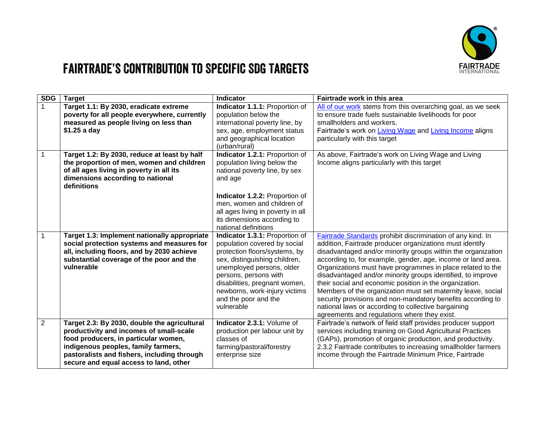

## Fairtrade's Contribution to Specific SDG Targets

| <b>SDG</b>     | <b>Target</b>                                                                                                                                                                                                                                                   | <b>Indicator</b>                                                                                                                                                                                                                                                                               | Fairtrade work in this area                                                                                                                                                                                                                                                                                                                                                                                                                                                                                                                                                                                                                                                           |
|----------------|-----------------------------------------------------------------------------------------------------------------------------------------------------------------------------------------------------------------------------------------------------------------|------------------------------------------------------------------------------------------------------------------------------------------------------------------------------------------------------------------------------------------------------------------------------------------------|---------------------------------------------------------------------------------------------------------------------------------------------------------------------------------------------------------------------------------------------------------------------------------------------------------------------------------------------------------------------------------------------------------------------------------------------------------------------------------------------------------------------------------------------------------------------------------------------------------------------------------------------------------------------------------------|
| $\mathbf{1}$   | Target 1.1: By 2030, eradicate extreme<br>poverty for all people everywhere, currently<br>measured as people living on less than<br>\$1.25 a day                                                                                                                | Indicator 1.1.1: Proportion of<br>population below the<br>international poverty line, by<br>sex, age, employment status<br>and geographical location                                                                                                                                           | All of our work stems from this overarching goal, as we seek<br>to ensure trade fuels sustainable livelihoods for poor<br>smallholders and workers.<br>Fairtrade's work on Living Wage and Living Income aligns<br>particularly with this target                                                                                                                                                                                                                                                                                                                                                                                                                                      |
|                |                                                                                                                                                                                                                                                                 | (urban/rural)                                                                                                                                                                                                                                                                                  |                                                                                                                                                                                                                                                                                                                                                                                                                                                                                                                                                                                                                                                                                       |
| 1              | Target 1.2: By 2030, reduce at least by half<br>the proportion of men, women and children<br>of all ages living in poverty in all its<br>dimensions according to national<br>definitions                                                                        | Indicator 1.2.1: Proportion of<br>population living below the<br>national poverty line, by sex<br>and age                                                                                                                                                                                      | As above, Fairtrade's work on Living Wage and Living<br>Income aligns particularly with this target                                                                                                                                                                                                                                                                                                                                                                                                                                                                                                                                                                                   |
|                |                                                                                                                                                                                                                                                                 | Indicator 1.2.2: Proportion of<br>men, women and children of<br>all ages living in poverty in all<br>its dimensions according to<br>national definitions                                                                                                                                       |                                                                                                                                                                                                                                                                                                                                                                                                                                                                                                                                                                                                                                                                                       |
| $\mathbf{1}$   | Target 1.3: Implement nationally appropriate<br>social protection systems and measures for<br>all, including floors, and by 2030 achieve<br>substantial coverage of the poor and the<br>vulnerable                                                              | Indicator 1.3.1: Proportion of<br>population covered by social<br>protection floors/systems, by<br>sex, distinguishing children,<br>unemployed persons, older<br>persons, persons with<br>disabilities, pregnant women,<br>newborns, work-injury victims<br>and the poor and the<br>vulnerable | Fairtrade Standards prohibit discrimination of any kind. In<br>addition, Fairtrade producer organizations must identify<br>disadvantaged and/or minority groups within the organization<br>according to, for example, gender, age, income or land area.<br>Organizations must have programmes in place related to the<br>disadvantaged and/or minority groups identified, to improve<br>their social and economic position in the organization.<br>Members of the organization must set maternity leave, social<br>security provisions and non-mandatory benefits according to<br>national laws or according to collective bargaining<br>agreements and regulations where they exist. |
| $\overline{2}$ | Target 2.3: By 2030, double the agricultural<br>productivity and incomes of small-scale<br>food producers, in particular women,<br>indigenous peoples, family farmers,<br>pastoralists and fishers, including through<br>secure and equal access to land, other | Indicator 2.3.1: Volume of<br>production per labour unit by<br>classes of<br>farming/pastoral/forestry<br>enterprise size                                                                                                                                                                      | Fairtrade's network of field staff provides producer support<br>services including training on Good Agricultural Practices<br>(GAPs), promotion of organic production, and productivity.<br>2.3.2 Fairtrade contributes to increasing smallholder farmers<br>income through the Fairtrade Minimum Price, Fairtrade                                                                                                                                                                                                                                                                                                                                                                    |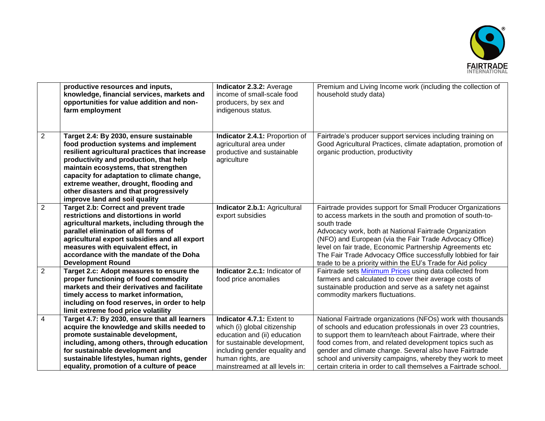

|                | productive resources and inputs,<br>knowledge, financial services, markets and<br>opportunities for value addition and non-<br>farm employment                                                                                                                                                                                                                                          | Indicator 2.3.2: Average<br>income of small-scale food<br>producers, by sex and<br>indigenous status.                                                                                                              | Premium and Living Income work (including the collection of<br>household study data)                                                                                                                                                                                                                                                                                                                                                                    |
|----------------|-----------------------------------------------------------------------------------------------------------------------------------------------------------------------------------------------------------------------------------------------------------------------------------------------------------------------------------------------------------------------------------------|--------------------------------------------------------------------------------------------------------------------------------------------------------------------------------------------------------------------|---------------------------------------------------------------------------------------------------------------------------------------------------------------------------------------------------------------------------------------------------------------------------------------------------------------------------------------------------------------------------------------------------------------------------------------------------------|
| $\overline{2}$ | Target 2.4: By 2030, ensure sustainable<br>food production systems and implement<br>resilient agricultural practices that increase<br>productivity and production, that help<br>maintain ecosystems, that strengthen<br>capacity for adaptation to climate change,<br>extreme weather, drought, flooding and<br>other disasters and that progressively<br>improve land and soil quality | Indicator 2.4.1: Proportion of<br>agricultural area under<br>productive and sustainable<br>agriculture                                                                                                             | Fairtrade's producer support services including training on<br>Good Agricultural Practices, climate adaptation, promotion of<br>organic production, productivity                                                                                                                                                                                                                                                                                        |
| $\overline{2}$ | <b>Target 2.b: Correct and prevent trade</b><br>restrictions and distortions in world<br>agricultural markets, including through the<br>parallel elimination of all forms of<br>agricultural export subsidies and all export<br>measures with equivalent effect, in<br>accordance with the mandate of the Doha<br><b>Development Round</b>                                              | Indicator 2.b.1: Agricultural<br>export subsidies                                                                                                                                                                  | Fairtrade provides support for Small Producer Organizations<br>to access markets in the south and promotion of south-to-<br>south trade<br>Advocacy work, both at National Fairtrade Organization<br>(NFO) and European (via the Fair Trade Advocacy Office)<br>level on fair trade, Economic Partnership Agreements etc<br>The Fair Trade Advocacy Office successfully lobbied for fair<br>trade to be a priority within the EU's Trade for Aid policy |
| $\overline{2}$ | Target 2.c: Adopt measures to ensure the<br>proper functioning of food commodity<br>markets and their derivatives and facilitate<br>timely access to market information,<br>including on food reserves, in order to help<br>limit extreme food price volatility                                                                                                                         | Indicator 2.c.1: Indicator of<br>food price anomalies                                                                                                                                                              | Fairtrade sets Minimum Prices using data collected from<br>farmers and calculated to cover their average costs of<br>sustainable production and serve as a safety net against<br>commodity markers fluctuations.                                                                                                                                                                                                                                        |
| 4              | Target 4.7: By 2030, ensure that all learners<br>acquire the knowledge and skills needed to<br>promote sustainable development,<br>including, among others, through education<br>for sustainable development and<br>sustainable lifestyles, human rights, gender<br>equality, promotion of a culture of peace                                                                           | Indicator 4.7.1: Extent to<br>which (i) global citizenship<br>education and (ii) education<br>for sustainable development,<br>including gender equality and<br>human rights, are<br>mainstreamed at all levels in: | National Fairtrade organizations (NFOs) work with thousands<br>of schools and education professionals in over 23 countries,<br>to support them to learn/teach about Fairtrade, where their<br>food comes from, and related development topics such as<br>gender and climate change. Several also have Fairtrade<br>school and university campaigns, whereby they work to meet<br>certain criteria in order to call themselves a Fairtrade school.       |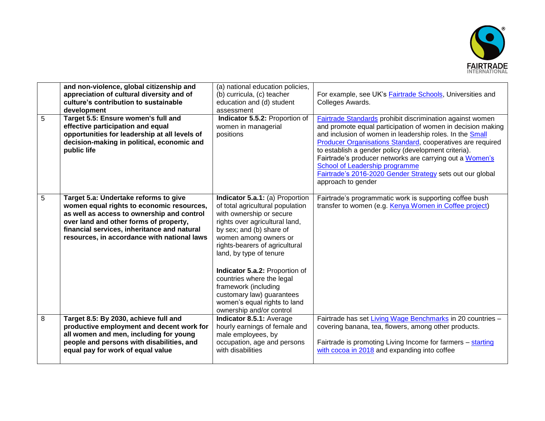

| 5 | and non-violence, global citizenship and<br>appreciation of cultural diversity and of<br>culture's contribution to sustainable<br>development<br>Target 5.5: Ensure women's full and                                                                                     | (a) national education policies,<br>(b) curricula, (c) teacher<br>education and (d) student<br>assessment<br>Indicator 5.5.2: Proportion of                                                                                                                                                                                                                                                                                         | For example, see UK's <b>Fairtrade Schools</b> , Universities and<br>Colleges Awards.<br>Fairtrade Standards prohibit discrimination against women                                                                                                                                                                                                                                                                             |
|---|--------------------------------------------------------------------------------------------------------------------------------------------------------------------------------------------------------------------------------------------------------------------------|-------------------------------------------------------------------------------------------------------------------------------------------------------------------------------------------------------------------------------------------------------------------------------------------------------------------------------------------------------------------------------------------------------------------------------------|--------------------------------------------------------------------------------------------------------------------------------------------------------------------------------------------------------------------------------------------------------------------------------------------------------------------------------------------------------------------------------------------------------------------------------|
|   | effective participation and equal<br>opportunities for leadership at all levels of<br>decision-making in political, economic and<br>public life                                                                                                                          | women in managerial<br>positions                                                                                                                                                                                                                                                                                                                                                                                                    | and promote equal participation of women in decision making<br>and inclusion of women in leadership roles. In the Small<br>Producer Organisations Standard, cooperatives are required<br>to establish a gender policy (development criteria).<br>Fairtrade's producer networks are carrying out a Women's<br>School of Leadership programme<br>Fairtrade's 2016-2020 Gender Strategy sets out our global<br>approach to gender |
| 5 | Target 5.a: Undertake reforms to give<br>women equal rights to economic resources,<br>as well as access to ownership and control<br>over land and other forms of property,<br>financial services, inheritance and natural<br>resources, in accordance with national laws | Indicator 5.a.1: (a) Proportion<br>of total agricultural population<br>with ownership or secure<br>rights over agricultural land,<br>by sex; and (b) share of<br>women among owners or<br>rights-bearers of agricultural<br>land, by type of tenure<br>Indicator 5.a.2: Proportion of<br>countries where the legal<br>framework (including<br>customary law) guarantees<br>women's equal rights to land<br>ownership and/or control | Fairtrade's programmatic work is supporting coffee bush<br>transfer to women (e.g. Kenya Women in Coffee project)                                                                                                                                                                                                                                                                                                              |
| 8 | Target 8.5: By 2030, achieve full and<br>productive employment and decent work for<br>all women and men, including for young<br>people and persons with disabilities, and<br>equal pay for work of equal value                                                           | Indicator 8.5.1: Average<br>hourly earnings of female and<br>male employees, by<br>occupation, age and persons<br>with disabilities                                                                                                                                                                                                                                                                                                 | Fairtrade has set Living Wage Benchmarks in 20 countries -<br>covering banana, tea, flowers, among other products.<br>Fairtrade is promoting Living Income for farmers - starting<br>with cocoa in 2018 and expanding into coffee                                                                                                                                                                                              |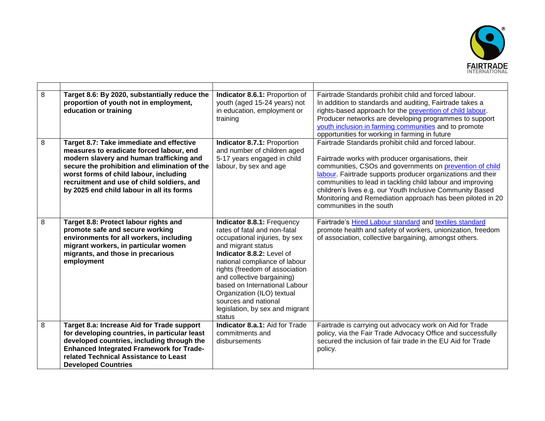

| 8<br>8 | Target 8.6: By 2020, substantially reduce the<br>proportion of youth not in employment,<br>education or training<br>Target 8.7: Take immediate and effective<br>measures to eradicate forced labour, end<br>modern slavery and human trafficking and<br>secure the prohibition and elimination of the<br>worst forms of child labour, including<br>recruitment and use of child soldiers, and<br>by 2025 end child labour in all its forms | Indicator 8.6.1: Proportion of<br>youth (aged 15-24 years) not<br>in education, employment or<br>training<br>Indicator 8.7.1: Proportion<br>and number of children aged<br>5-17 years engaged in child<br>labour, by sex and age                                                                                                                                                    | Fairtrade Standards prohibit child and forced labour.<br>In addition to standards and auditing, Fairtrade takes a<br>rights-based approach for the prevention of child labour.<br>Producer networks are developing programmes to support<br>youth inclusion in farming communities and to promote<br>opportunities for working in farming in future<br>Fairtrade Standards prohibit child and forced labour.<br>Fairtrade works with producer organisations, their<br>communities, CSOs and governments on prevention of child<br>labour. Fairtrade supports producer organizations and their<br>communities to lead in tackling child labour and improving<br>children's lives e.g. our Youth Inclusive Community Based<br>Monitoring and Remediation approach has been piloted in 20<br>communities in the south |
|--------|--------------------------------------------------------------------------------------------------------------------------------------------------------------------------------------------------------------------------------------------------------------------------------------------------------------------------------------------------------------------------------------------------------------------------------------------|-------------------------------------------------------------------------------------------------------------------------------------------------------------------------------------------------------------------------------------------------------------------------------------------------------------------------------------------------------------------------------------|--------------------------------------------------------------------------------------------------------------------------------------------------------------------------------------------------------------------------------------------------------------------------------------------------------------------------------------------------------------------------------------------------------------------------------------------------------------------------------------------------------------------------------------------------------------------------------------------------------------------------------------------------------------------------------------------------------------------------------------------------------------------------------------------------------------------|
| 8      | Target 8.8: Protect labour rights and<br>promote safe and secure working<br>environments for all workers, including<br>migrant workers, in particular women<br>migrants, and those in precarious<br>employment                                                                                                                                                                                                                             | Indicator 8.8.1: Frequency<br>rates of fatal and non-fatal<br>occupational injuries, by sex<br>and migrant status<br>Indicator 8.8.2: Level of<br>national compliance of labour<br>rights (freedom of association<br>and collective bargaining)<br>based on International Labour<br>Organization (ILO) textual<br>sources and national<br>legislation, by sex and migrant<br>status | Fairtrade's Hired Labour standard and textiles standard<br>promote health and safety of workers, unionization, freedom<br>of association, collective bargaining, amongst others.                                                                                                                                                                                                                                                                                                                                                                                                                                                                                                                                                                                                                                   |
| 8      | Target 8.a: Increase Aid for Trade support<br>for developing countries, in particular least<br>developed countries, including through the<br><b>Enhanced Integrated Framework for Trade-</b><br>related Technical Assistance to Least<br><b>Developed Countries</b>                                                                                                                                                                        | Indicator 8.a.1: Aid for Trade<br>commitments and<br>disbursements                                                                                                                                                                                                                                                                                                                  | Fairtrade is carrying out advocacy work on Aid for Trade<br>policy, via the Fair Trade Advocacy Office and successfully<br>secured the inclusion of fair trade in the EU Aid for Trade<br>policy.                                                                                                                                                                                                                                                                                                                                                                                                                                                                                                                                                                                                                  |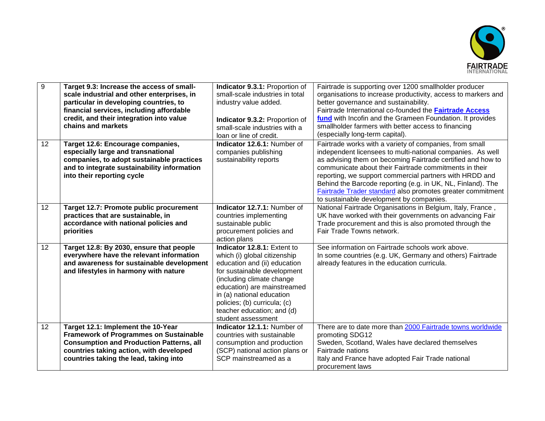

| 9               | Target 9.3: Increase the access of small-<br>scale industrial and other enterprises, in<br>particular in developing countries, to<br>financial services, including affordable<br>credit, and their integration into value<br>chains and markets | Indicator 9.3.1: Proportion of<br>small-scale industries in total<br>industry value added.<br>Indicator 9.3.2: Proportion of<br>small-scale industries with a<br>loan or line of credit.                                                                                                                | Fairtrade is supporting over 1200 smallholder producer<br>organisations to increase productivity, access to markers and<br>better governance and sustainability.<br>Fairtrade International co-founded the <b>Fairtrade Access</b><br>fund with Incofin and the Grameen Foundation. It provides<br>smallholder farmers with better access to financing<br>(especially long-term capital).                                                                                          |
|-----------------|-------------------------------------------------------------------------------------------------------------------------------------------------------------------------------------------------------------------------------------------------|---------------------------------------------------------------------------------------------------------------------------------------------------------------------------------------------------------------------------------------------------------------------------------------------------------|------------------------------------------------------------------------------------------------------------------------------------------------------------------------------------------------------------------------------------------------------------------------------------------------------------------------------------------------------------------------------------------------------------------------------------------------------------------------------------|
| 12 <sup>2</sup> | Target 12.6: Encourage companies,<br>especially large and transnational<br>companies, to adopt sustainable practices<br>and to integrate sustainability information<br>into their reporting cycle                                               | Indicator 12.6.1: Number of<br>companies publishing<br>sustainability reports                                                                                                                                                                                                                           | Fairtrade works with a variety of companies, from small<br>independent licensees to multi-national companies. As well<br>as advising them on becoming Fairtrade certified and how to<br>communicate about their Fairtrade commitments in their<br>reporting, we support commercial partners with HRDD and<br>Behind the Barcode reporting (e.g. in UK, NL, Finland). The<br>Fairtrade Trader standard also promotes greater commitment<br>to sustainable development by companies. |
| 12              | Target 12.7: Promote public procurement<br>practices that are sustainable, in<br>accordance with national policies and<br>priorities                                                                                                            | Indicator 12.7.1: Number of<br>countries implementing<br>sustainable public<br>procurement policies and<br>action plans                                                                                                                                                                                 | National Fairtrade Organisations in Belgium, Italy, France,<br>UK have worked with their governments on advancing Fair<br>Trade procurement and this is also promoted through the<br>Fair Trade Towns network.                                                                                                                                                                                                                                                                     |
| 12              | Target 12.8: By 2030, ensure that people<br>everywhere have the relevant information<br>and awareness for sustainable development<br>and lifestyles in harmony with nature                                                                      | Indicator 12.8.1: Extent to<br>which (i) global citizenship<br>education and (ii) education<br>for sustainable development<br>(including climate change<br>education) are mainstreamed<br>in (a) national education<br>policies; (b) curricula; (c)<br>teacher education; and (d)<br>student assessment | See information on Fairtrade schools work above.<br>In some countries (e.g. UK, Germany and others) Fairtrade<br>already features in the education curricula.                                                                                                                                                                                                                                                                                                                      |
| 12              | Target 12.1: Implement the 10-Year<br><b>Framework of Programmes on Sustainable</b><br><b>Consumption and Production Patterns, all</b><br>countries taking action, with developed<br>countries taking the lead, taking into                     | Indicator 12.1.1: Number of<br>countries with sustainable<br>consumption and production<br>(SCP) national action plans or<br>SCP mainstreamed as a                                                                                                                                                      | There are to date more than 2000 Fairtrade towns worldwide<br>promoting SDG12<br>Sweden, Scotland, Wales have declared themselves<br>Fairtrade nations<br>Italy and France have adopted Fair Trade national<br>procurement laws                                                                                                                                                                                                                                                    |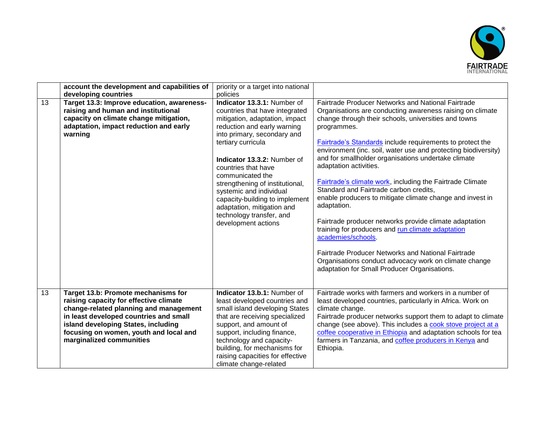

|    | account the development and capabilities of | priority or a target into national |                                                                  |
|----|---------------------------------------------|------------------------------------|------------------------------------------------------------------|
|    | developing countries                        | policies                           |                                                                  |
| 13 | Target 13.3: Improve education, awareness-  | Indicator 13.3.1: Number of        | Fairtrade Producer Networks and National Fairtrade               |
|    | raising and human and institutional         | countries that have integrated     | Organisations are conducting awareness raising on climate        |
|    | capacity on climate change mitigation,      | mitigation, adaptation, impact     | change through their schools, universities and towns             |
|    | adaptation, impact reduction and early      | reduction and early warning        | programmes.                                                      |
|    | warning                                     | into primary, secondary and        |                                                                  |
|    |                                             | tertiary curricula                 | <b>Fairtrade's Standards include requirements to protect the</b> |
|    |                                             |                                    | environment (inc. soil, water use and protecting biodiversity)   |
|    |                                             | Indicator 13.3.2: Number of        | and for smallholder organisations undertake climate              |
|    |                                             | countries that have                | adaptation activities.                                           |
|    |                                             | communicated the                   |                                                                  |
|    |                                             | strengthening of institutional,    | <b>Fairtrade's climate work, including the Fairtrade Climate</b> |
|    |                                             | systemic and individual            | Standard and Fairtrade carbon credits,                           |
|    |                                             | capacity-building to implement     | enable producers to mitigate climate change and invest in        |
|    |                                             | adaptation, mitigation and         | adaptation.                                                      |
|    |                                             | technology transfer, and           | Fairtrade producer networks provide climate adaptation           |
|    |                                             | development actions                | training for producers and run climate adaptation                |
|    |                                             |                                    | academies/schools.                                               |
|    |                                             |                                    |                                                                  |
|    |                                             |                                    | Fairtrade Producer Networks and National Fairtrade               |
|    |                                             |                                    | Organisations conduct advocacy work on climate change            |
|    |                                             |                                    | adaptation for Small Producer Organisations.                     |
|    |                                             |                                    |                                                                  |
|    |                                             |                                    |                                                                  |
| 13 | Target 13.b: Promote mechanisms for         | Indicator 13.b.1: Number of        | Fairtrade works with farmers and workers in a number of          |
|    | raising capacity for effective climate      | least developed countries and      | least developed countries, particularly in Africa. Work on       |
|    | change-related planning and management      | small island developing States     | climate change.                                                  |
|    | in least developed countries and small      | that are receiving specialized     | Fairtrade producer networks support them to adapt to climate     |
|    | island developing States, including         | support, and amount of             | change (see above). This includes a cook stove project at a      |
|    | focusing on women, youth and local and      | support, including finance,        | coffee cooperative in Ethiopia and adaptation schools for tea    |
|    | marginalized communities                    | technology and capacity-           | farmers in Tanzania, and coffee producers in Kenya and           |
|    |                                             | building, for mechanisms for       | Ethiopia.                                                        |
|    |                                             | raising capacities for effective   |                                                                  |
|    |                                             | climate change-related             |                                                                  |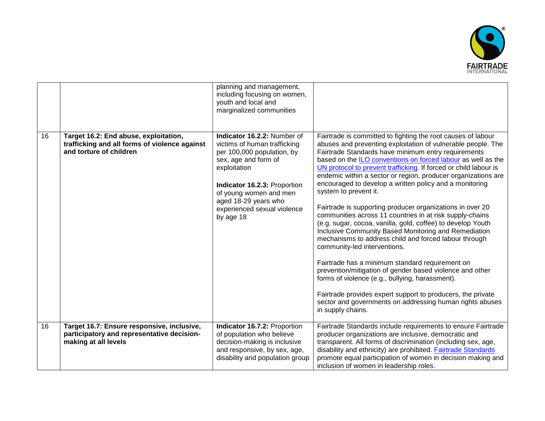

|    |                                                                                                                   | planning and management,<br>including focusing on women,<br>youth and local and<br>marginalized communities                                                                                                                                                     |                                                                                                                                                                                                                                                                                                                                                                                                                                                                                                                                                                                                                                                                                                                                                                                                                                                                                                                                                                                                                                                                                                                                         |
|----|-------------------------------------------------------------------------------------------------------------------|-----------------------------------------------------------------------------------------------------------------------------------------------------------------------------------------------------------------------------------------------------------------|-----------------------------------------------------------------------------------------------------------------------------------------------------------------------------------------------------------------------------------------------------------------------------------------------------------------------------------------------------------------------------------------------------------------------------------------------------------------------------------------------------------------------------------------------------------------------------------------------------------------------------------------------------------------------------------------------------------------------------------------------------------------------------------------------------------------------------------------------------------------------------------------------------------------------------------------------------------------------------------------------------------------------------------------------------------------------------------------------------------------------------------------|
| 16 | Target 16.2: End abuse, exploitation,<br>trafficking and all forms of violence against<br>and torture of children | Indicator 16.2.2: Number of<br>victims of human trafficking<br>per 100,000 population, by<br>sex, age and form of<br>exploitation<br>Indicator 16.2.3: Proportion<br>of young women and men<br>aged 18-29 years who<br>experienced sexual violence<br>by age 18 | Fairtrade is committed to fighting the root causes of labour<br>abuses and preventing exploitation of vulnerable people. The<br>Fairtrade Standards have minimum entry requirements<br>based on the ILO conventions on forced labour as well as the<br>UN protocol to prevent trafficking. If forced or child labour is<br>endemic within a sector or region, producer organizations are<br>encouraged to develop a written policy and a monitoring<br>system to prevent it.<br>Fairtrade is supporting producer organizations in over 20<br>communities across 11 countries in at risk supply-chains<br>(e.g. sugar, cocoa, vanilla, gold, coffee) to develop Youth<br>Inclusive Community Based Monitoring and Remediation<br>mechanisms to address child and forced labour through<br>community-led interventions.<br>Fairtrade has a minimum standard requirement on<br>prevention/mitigation of gender based violence and other<br>forms of violence (e.g., bullying, harassment).<br>Fairtrade provides expert support to producers, the private<br>sector and governments on addressing human rights abuses<br>in supply chains. |
| 16 | Target 16.7: Ensure responsive, inclusive,<br>participatory and representative decision-<br>making at all levels  | Indicator 16.7.2: Proportion<br>of population who believe<br>decision-making is inclusive<br>and responsive, by sex, age,<br>disability and population group                                                                                                    | Fairtrade Standards include requirements to ensure Fairtrade<br>producer organizations are inclusive, democratic and<br>transparent. All forms of discrimination (including sex, age,<br>disability and ethnicity) are prohibited. Fairtrade Standards<br>promote equal participation of women in decision making and<br>inclusion of women in leadership roles.                                                                                                                                                                                                                                                                                                                                                                                                                                                                                                                                                                                                                                                                                                                                                                        |